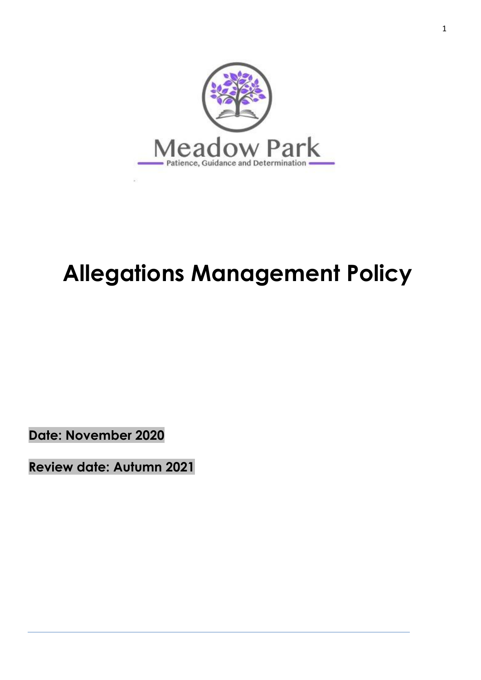

# **Allegations Management Policy**

**Date: November 2020**

**Review date: Autumn 2021**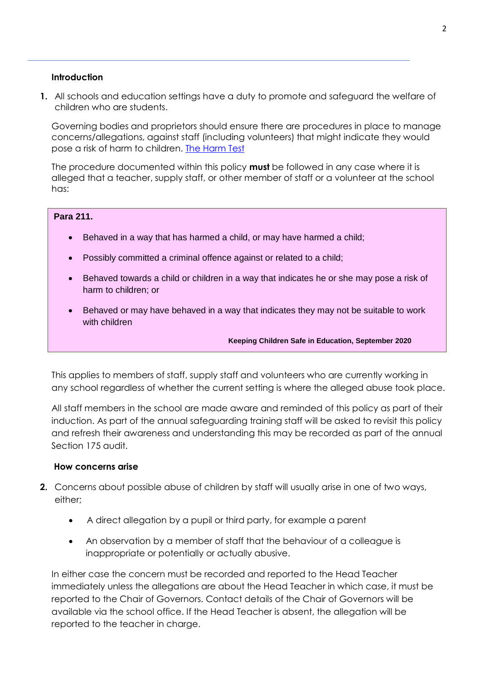#### **Introduction**

**1.** All schools and education settings have a duty to promote and safeguard the welfare of children who are students.

Governing bodies and proprietors should ensure there are procedures in place to manage concerns/allegations, against staff (including volunteers) that might indicate they would pose a risk of harm to children. [The Harm Test](https://www.gov.uk/guidance/making-barring-referrals-to-the-dbs#what-is-the-harm-test)

The procedure documented within this policy **must** be followed in any case where it is alleged that a teacher, supply staff, or other member of staff or a volunteer at the school has:

#### **Para 211.**

- Behaved in a way that has harmed a child, or may have harmed a child;
- Possibly committed a criminal offence against or related to a child;
- Behaved towards a child or children in a way that indicates he or she may pose a risk of harm to children; or
- Behaved or may have behaved in a way that indicates they may not be suitable to work with children

**Keeping Children Safe in Education, September 2020**

This applies to members of staff, supply staff and volunteers who are currently working in any school regardless of whether the current setting is where the alleged abuse took place.

All staff members in the school are made aware and reminded of this policy as part of their induction. As part of the annual safeguarding training staff will be asked to revisit this policy and refresh their awareness and understanding this may be recorded as part of the annual Section 175 audit.

#### **How concerns arise**

- **2.** Concerns about possible abuse of children by staff will usually arise in one of two ways, either;
	- A direct allegation by a pupil or third party, for example a parent
	- An observation by a member of staff that the behaviour of a colleague is inappropriate or potentially or actually abusive.

In either case the concern must be recorded and reported to the Head Teacher immediately unless the allegations are about the Head Teacher in which case, it must be reported to the Chair of Governors. Contact details of the Chair of Governors will be available via the school office. If the Head Teacher is absent, the allegation will be reported to the teacher in charge.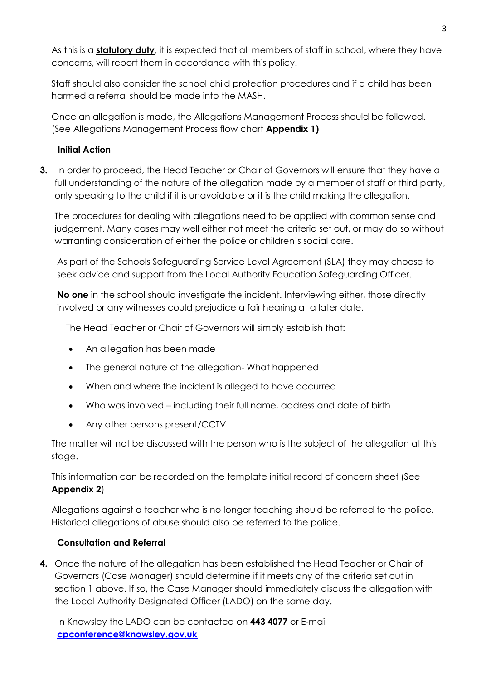As this is a **statutory duty**, it is expected that all members of staff in school, where they have concerns, will report them in accordance with this policy.

Staff should also consider the school child protection procedures and if a child has been harmed a referral should be made into the MASH.

Once an allegation is made, the Allegations Management Process should be followed. (See Allegations Management Process flow chart **Appendix 1)**

# **Initial Action**

**3.** In order to proceed, the Head Teacher or Chair of Governors will ensure that they have a full understanding of the nature of the allegation made by a member of staff or third party, only speaking to the child if it is unavoidable or it is the child making the allegation.

The procedures for dealing with allegations need to be applied with common sense and judgement. Many cases may well either not meet the criteria set out, or may do so without warranting consideration of either the police or children's social care.

As part of the Schools Safeguarding Service Level Agreement (SLA) they may choose to seek advice and support from the Local Authority Education Safeguarding Officer.

**No one** in the school should investigate the incident. Interviewing either, those directly involved or any witnesses could prejudice a fair hearing at a later date.

The Head Teacher or Chair of Governors will simply establish that:

- An allegation has been made
- The general nature of the allegation- What happened
- When and where the incident is alleged to have occurred
- Who was involved including their full name, address and date of birth
- Any other persons present/CCTV

The matter will not be discussed with the person who is the subject of the allegation at this stage.

This information can be recorded on the template initial record of concern sheet (See **Appendix 2**)

Allegations against a teacher who is no longer teaching should be referred to the police. Historical allegations of abuse should also be referred to the police.

# **Consultation and Referral**

**4.** Once the nature of the allegation has been established the Head Teacher or Chair of Governors (Case Manager) should determine if it meets any of the criteria set out in section 1 above. If so, the Case Manager should immediately discuss the allegation with the Local Authority Designated Officer (LADO) on the same day.

In Knowsley the LADO can be contacted on **443 4077** or E-mail **[cpconference@knowsley.gov.uk](mailto:cpconference@knowsley.gov.uk)**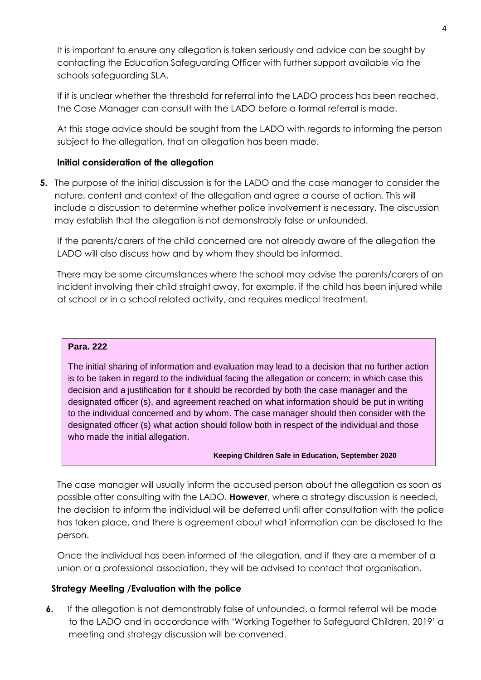It is important to ensure any allegation is taken seriously and advice can be sought by contacting the Education Safeguarding Officer with further support available via the schools safeguarding SLA.

If it is unclear whether the threshold for referral into the LADO process has been reached, the Case Manager can consult with the LADO before a formal referral is made.

At this stage advice should be sought from the LADO with regards to informing the person subject to the allegation, that an allegation has been made.

# **Initial consideration of the allegation**

**5.** The purpose of the initial discussion is for the LADO and the case manager to consider the nature, content and context of the allegation and agree a course of action. This will include a discussion to determine whether police involvement is necessary. The discussion may establish that the allegation is not demonstrably false or unfounded.

If the parents/carers of the child concerned are not already aware of the allegation the LADO will also discuss how and by whom they should be informed.

There may be some circumstances where the school may advise the parents/carers of an incident involving their child straight away, for example, if the child has been injured while at school or in a school related activity, and requires medical treatment.

#### **Para. 222**

The initial sharing of information and evaluation may lead to a decision that no further action is to be taken in regard to the individual facing the allegation or concern; in which case this decision and a justification for it should be recorded by both the case manager and the designated officer (s), and agreement reached on what information should be put in writing to the individual concerned and by whom. The case manager should then consider with the designated officer (s) what action should follow both in respect of the individual and those who made the initial allegation.

#### **Keeping Children Safe in Education, September 2020**

The case manager will usually inform the accused person about the allegation as soon as possible after consulting with the LADO. **However**, where a strategy discussion is needed, the decision to inform the individual will be deferred until after consultation with the police has taken place, and there is agreement about what information can be disclosed to the person.

Once the individual has been informed of the allegation, and if they are a member of a union or a professional association, they will be advised to contact that organisation.

# **Strategy Meeting /Evaluation with the police**

**6.** If the allegation is not demonstrably false of unfounded, a formal referral will be made to the LADO and in accordance with 'Working Together to Safeguard Children, 2019' a meeting and strategy discussion will be convened.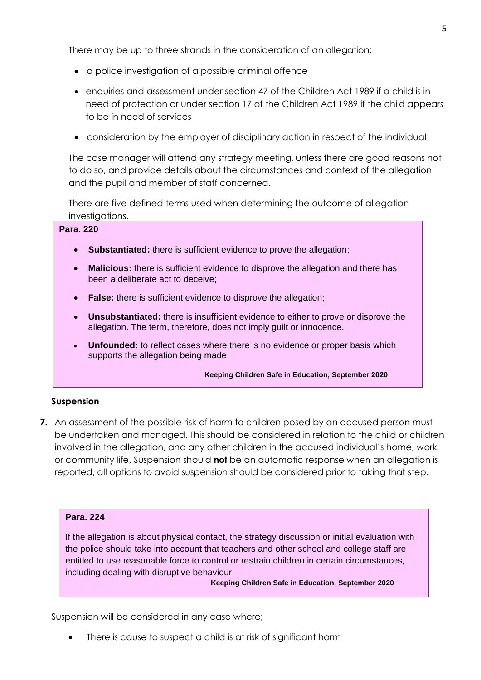There may be up to three strands in the consideration of an allegation:

- a police investigation of a possible criminal offence
- enquiries and assessment under section 47 of the Children Act 1989 if a child is in need of protection or under section 17 of the Children Act 1989 if the child appears to be in need of services
- consideration by the employer of disciplinary action in respect of the individual

The case manager will attend any strategy meeting, unless there are good reasons not to do so, and provide details about the circumstances and context of the allegation and the pupil and member of staff concerned.

There are five defined terms used when determining the outcome of allegation investigations.

#### **Para. 220**

- **Substantiated:** there is sufficient evidence to prove the allegation;
- **Malicious:** there is sufficient evidence to disprove the allegation and there has been a deliberate act to deceive;
- **False:** there is sufficient evidence to disprove the allegation;
- **Unsubstantiated:** there is insufficient evidence to either to prove or disprove the allegation. The term, therefore, does not imply guilt or innocence.
- **Unfounded:** to reflect cases where there is no evidence or proper basis which supports the allegation being made

**Keeping Children Safe in Education, September 2020**

#### **Suspension**

**7.** An assessment of the possible risk of harm to children posed by an accused person must be undertaken and managed. This should be considered in relation to the child or children involved in the allegation, and any other children in the accused individual's home, work or community life. Suspension should **not** be an automatic response when an allegation is reported, all options to avoid suspension should be considered prior to taking that step.

#### **Para. 224**

If the allegation is about physical contact, the strategy discussion or initial evaluation with the police should take into account that teachers and other school and college staff are entitled to use reasonable force to control or restrain children in certain circumstances, including dealing with disruptive behaviour.

**Keeping Children Safe in Education, September 2020**

Suspension will be considered in any case where;

There is cause to suspect a child is at risk of significant harm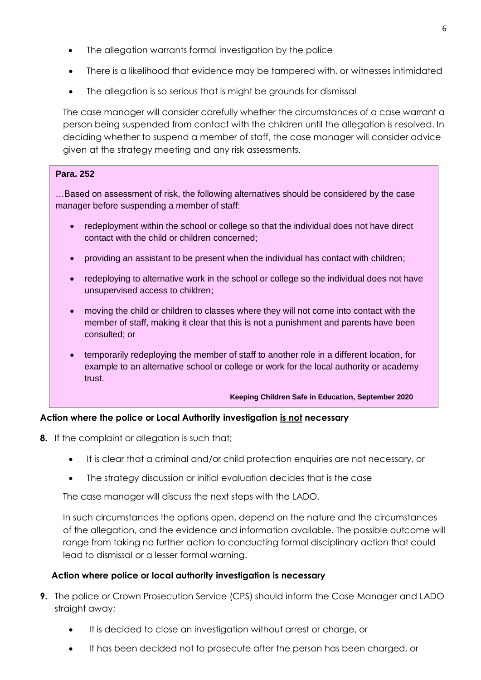- The allegation warrants formal investigation by the police
- There is a likelihood that evidence may be tampered with, or witnesses intimidated
- The allegation is so serious that is might be grounds for dismissal

The case manager will consider carefully whether the circumstances of a case warrant a person being suspended from contact with the children until the allegation is resolved. In deciding whether to suspend a member of staff, the case manager will consider advice given at the strategy meeting and any risk assessments.

# **Para. 252**

…Based on assessment of risk, the following alternatives should be considered by the case manager before suspending a member of staff:

- redeployment within the school or college so that the individual does not have direct contact with the child or children concerned;
- providing an assistant to be present when the individual has contact with children;
- redeploying to alternative work in the school or college so the individual does not have unsupervised access to children;
- moving the child or children to classes where they will not come into contact with the member of staff, making it clear that this is not a punishment and parents have been consulted; or
- temporarily redeploying the member of staff to another role in a different location, for example to an alternative school or college or work for the local authority or academy trust.

**Keeping Children Safe in Education, September 2020**

# **Action where the police or Local Authority investigation is not necessary**

- **8.** If the complaint or allegation is such that;
	- It is clear that a criminal and/or child protection enquiries are not necessary, or
	- The strategy discussion or initial evaluation decides that is the case

The case manager will discuss the next steps with the LADO.

In such circumstances the options open, depend on the nature and the circumstances of the allegation, and the evidence and information available. The possible outcome will range from taking no further action to conducting formal disciplinary action that could lead to dismissal or a lesser formal warning.

# **Action where police or local authority investigation is necessary**

- **9.** The police or Crown Prosecution Service (CPS) should inform the Case Manager and LADO straight away;
	- It is decided to close an investigation without arrest or charge, or
	- It has been decided not to prosecute after the person has been charged, or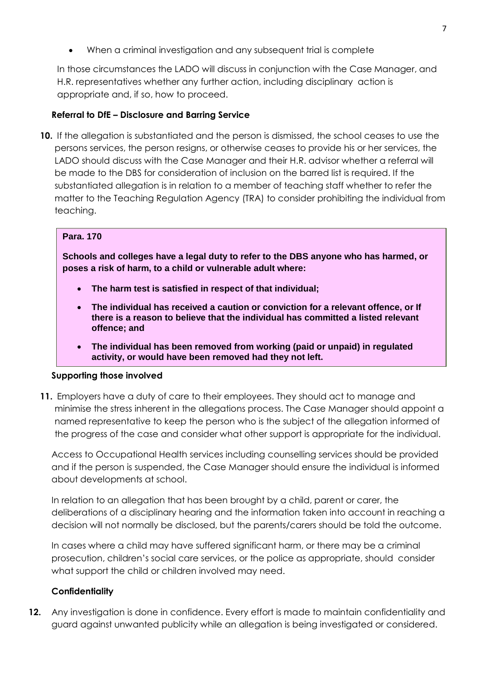When a criminal investigation and any subsequent trial is complete

In those circumstances the LADO will discuss in conjunction with the Case Manager, and H.R. representatives whether any further action, including disciplinary action is appropriate and, if so, how to proceed.

# **Referral to DfE – Disclosure and Barring Service**

**10.** If the allegation is substantiated and the person is dismissed, the school ceases to use the persons services, the person resigns, or otherwise ceases to provide his or her services, the LADO should discuss with the Case Manager and their H.R. advisor whether a referral will be made to the DBS for consideration of inclusion on the barred list is required. If the substantiated allegation is in relation to a member of teaching staff whether to refer the matter to the Teaching Regulation Agency (TRA) to consider prohibiting the individual from teaching.

# **Para. 170**

**Schools and colleges have a legal duty to refer to the DBS anyone who has harmed, or poses a risk of harm, to a child or vulnerable adult where:**

- **The harm test is satisfied in respect of that individual;**
- **The individual has received a caution or conviction for a relevant offence, or If there is a reason to believe that the individual has committed a listed relevant offence; and**
- **The individual has been removed from working (paid or unpaid) in regulated activity, or would have been removed had they not left.**

# **Supporting those involved**

**11.** Employers have a duty of care to their employees. They should act to manage and minimise the stress inherent in the allegations process. The Case Manager should appoint a named representative to keep the person who is the subject of the allegation informed of the progress of the case and consider what other support is appropriate for the individual.

Access to Occupational Health services including counselling services should be provided and if the person is suspended, the Case Manager should ensure the individual is informed about developments at school.

In relation to an allegation that has been brought by a child, parent or carer, the deliberations of a disciplinary hearing and the information taken into account in reaching a decision will not normally be disclosed, but the parents/carers should be told the outcome.

In cases where a child may have suffered significant harm, or there may be a criminal prosecution, children's social care services, or the police as appropriate, should consider what support the child or children involved may need.

# **Confidentiality**

**12.** Any investigation is done in confidence. Every effort is made to maintain confidentiality and guard against unwanted publicity while an allegation is being investigated or considered.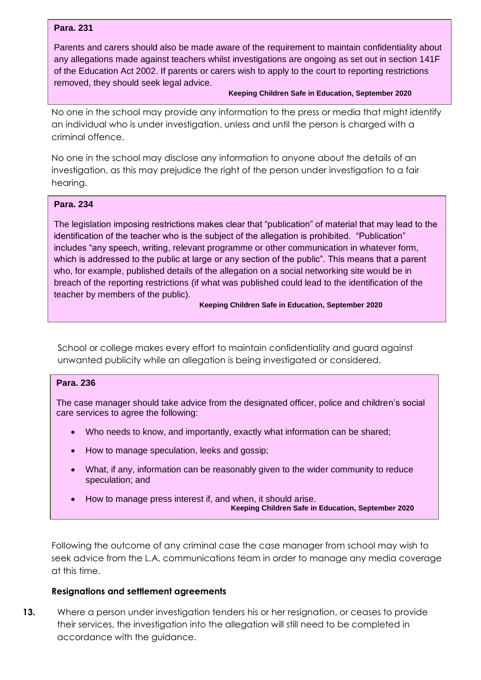#### **Para. 231**

Parents and carers should also be made aware of the requirement to maintain confidentiality about any allegations made against teachers whilst investigations are ongoing as set out in section 141F of the Education Act 2002. If parents or carers wish to apply to the court to reporting restrictions removed, they should seek legal advice.

#### **Keeping Children Safe in Education, September 2020**

No one in the school may provide any information to the press or media that might identify an individual who is under investigation, unless and until the person is charged with a criminal offence.

No one in the school may disclose any information to anyone about the details of an investigation, as this may prejudice the right of the person under investigation to a fair hearing.

#### **Para. 234**

The legislation imposing restrictions makes clear that "publication" of material that may lead to the identification of the teacher who is the subject of the allegation is prohibited. "Publication" includes "any speech, writing, relevant programme or other communication in whatever form, which is addressed to the public at large or any section of the public". This means that a parent who, for example, published details of the allegation on a social networking site would be in breach of the reporting restrictions (if what was published could lead to the identification of the teacher by members of the public).

#### **Keeping Children Safe in Education, September 2020**

School or college makes every effort to maintain confidentiality and guard against unwanted publicity while an allegation is being investigated or considered.

#### **Para. 236**

The case manager should take advice from the designated officer, police and children's social care services to agree the following:

- Who needs to know, and importantly, exactly what information can be shared;
- How to manage speculation, leeks and gossip;
- What, if any, information can be reasonably given to the wider community to reduce speculation; and
- How to manage press interest if, and when, it should arise. **Keeping Children Safe in Education, September 2020**

Following the outcome of any criminal case the case manager from school may wish to seek advice from the L.A. communications team in order to manage any media coverage at this time.

#### **Resignations and settlement agreements**

**13.** Where a person under investigation tenders his or her resignation, or ceases to provide their services, the investigation into the allegation will still need to be completed in accordance with the guidance.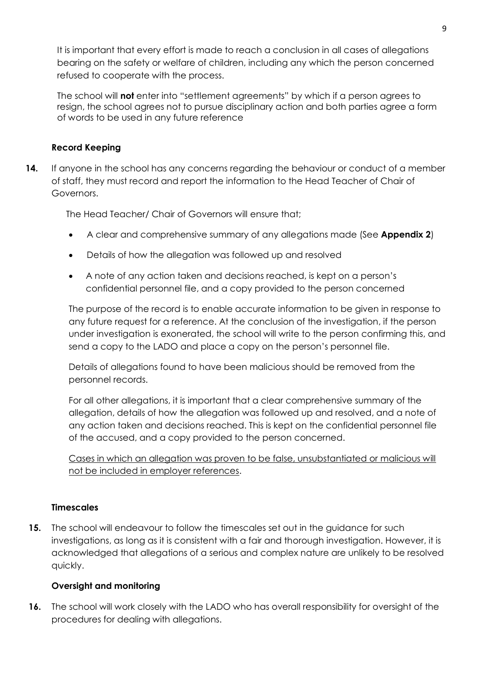It is important that every effort is made to reach a conclusion in all cases of allegations bearing on the safety or welfare of children, including any which the person concerned refused to cooperate with the process.

The school will **not** enter into "settlement agreements" by which if a person agrees to resign, the school agrees not to pursue disciplinary action and both parties agree a form of words to be used in any future reference

# **Record Keeping**

**14.** If anyone in the school has any concerns regarding the behaviour or conduct of a member of staff, they must record and report the information to the Head Teacher of Chair of Governors.

The Head Teacher/ Chair of Governors will ensure that;

- A clear and comprehensive summary of any allegations made (See **Appendix 2**)
- Details of how the allegation was followed up and resolved
- A note of any action taken and decisions reached, is kept on a person's confidential personnel file, and a copy provided to the person concerned

The purpose of the record is to enable accurate information to be given in response to any future request for a reference. At the conclusion of the investigation, if the person under investigation is exonerated, the school will write to the person confirming this, and send a copy to the LADO and place a copy on the person's personnel file.

Details of allegations found to have been malicious should be removed from the personnel records.

For all other allegations, it is important that a clear comprehensive summary of the allegation, details of how the allegation was followed up and resolved, and a note of any action taken and decisions reached. This is kept on the confidential personnel file of the accused, and a copy provided to the person concerned.

Cases in which an allegation was proven to be false, unsubstantiated or malicious will not be included in employer references.

# **Timescales**

**15.** The school will endeavour to follow the timescales set out in the guidance for such investigations, as long as it is consistent with a fair and thorough investigation. However, it is acknowledged that allegations of a serious and complex nature are unlikely to be resolved quickly.

# **Oversight and monitoring**

**16.** The school will work closely with the LADO who has overall responsibility for oversight of the procedures for dealing with allegations.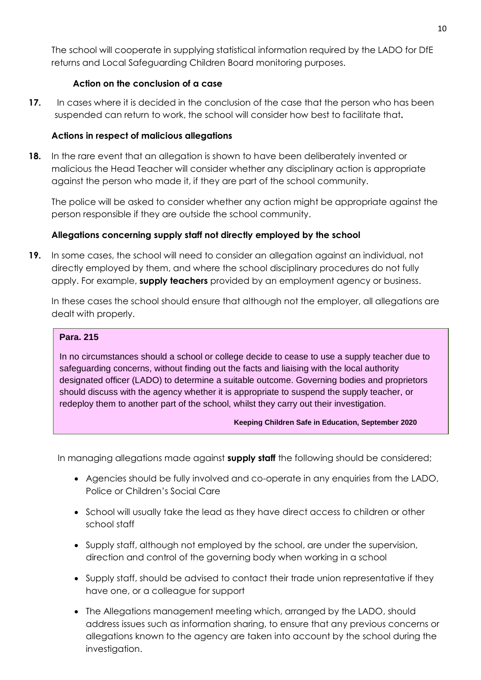The school will cooperate in supplying statistical information required by the LADO for DfE returns and Local Safeguarding Children Board monitoring purposes.

# **Action on the conclusion of a case**

**17.** In cases where it is decided in the conclusion of the case that the person who has been suspended can return to work, the school will consider how best to facilitate that**.**

# **Actions in respect of malicious allegations**

**18.** In the rare event that an allegation is shown to have been deliberately invented or malicious the Head Teacher will consider whether any disciplinary action is appropriate against the person who made it, if they are part of the school community.

The police will be asked to consider whether any action might be appropriate against the person responsible if they are outside the school community.

# **Allegations concerning supply staff not directly employed by the school**

**19.** In some cases, the school will need to consider an allegation against an individual, not directly employed by them, and where the school disciplinary procedures do not fully apply. For example, **supply teachers** provided by an employment agency or business.

In these cases the school should ensure that although not the employer, all allegations are dealt with properly.

# **Para. 215**

In no circumstances should a school or college decide to cease to use a supply teacher due to safeguarding concerns, without finding out the facts and liaising with the local authority designated officer (LADO) to determine a suitable outcome. Governing bodies and proprietors should discuss with the agency whether it is appropriate to suspend the supply teacher, or redeploy them to another part of the school, whilst they carry out their investigation.

# **Keeping Children Safe in Education, September 2020**

In managing allegations made against **supply staff** the following should be considered;

- Agencies should be fully involved and co-operate in any enquiries from the LADO, Police or Children's Social Care
- School will usually take the lead as they have direct access to children or other school staff
- Supply staff, although not employed by the school, are under the supervision, direction and control of the governing body when working in a school
- Supply staff, should be advised to contact their trade union representative if they have one, or a colleague for support
- The Allegations management meeting which, arranged by the LADO, should address issues such as information sharing, to ensure that any previous concerns or allegations known to the agency are taken into account by the school during the investigation.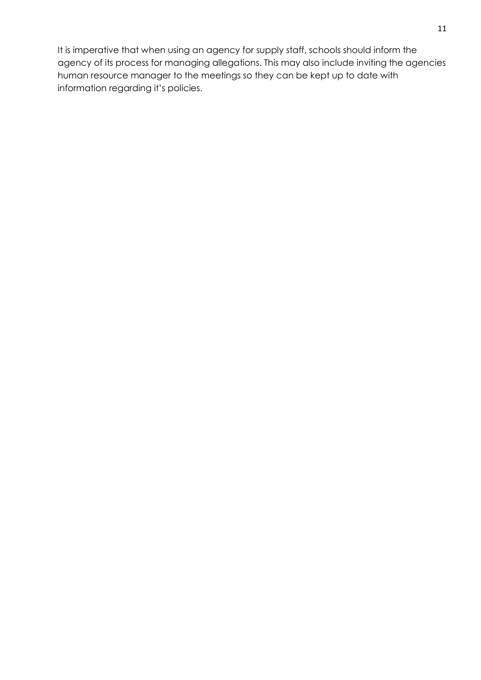It is imperative that when using an agency for supply staff, schools should inform the agency of its process for managing allegations. This may also include inviting the agencies human resource manager to the meetings so they can be kept up to date with information regarding it's policies.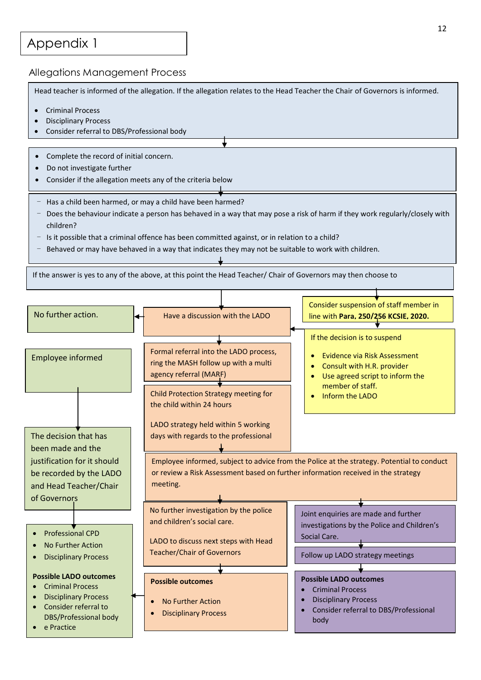# Appendix 1

#### Allegations Management Process

Head teacher is informed of the allegation. If the allegation relates to the Head Teacher the Chair of Governors is informed.

- Criminal Process
- Disciplinary Process
- Consider referral to DBS/Professional body
- Complete the record of initial concern.
- Do not investigate further
- Consider if the allegation meets any of the criteria below
- Has a child been harmed, or may a child have been harmed?
- Does the behaviour indicate a person has behaved in a way that may pose a risk of harm if they work regularly/closely with children?
- Is it possible that a criminal offence has been committed against, or in relation to a child?
- Behaved or may have behaved in a way that indicates they may not be suitable to work with children.

If the answer is yes to any of the above, at this point the Head Teacher/ Chair of Governors may then choose to

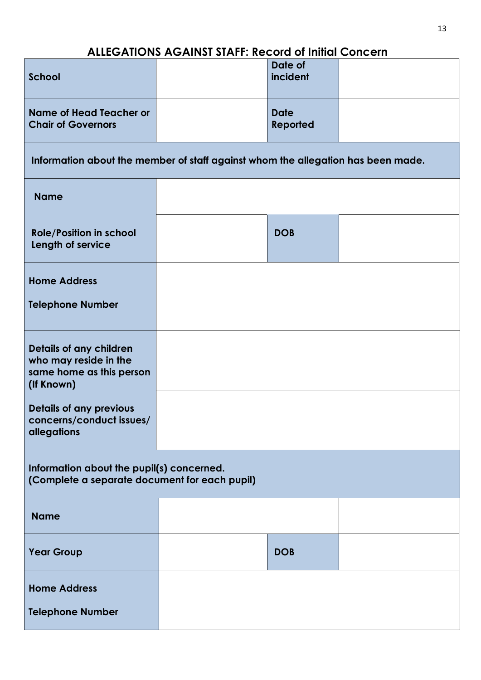# **ALLEGATIONS AGAINST STAFF: Record of Initial Concern**

| <b>School</b>                                                                              |  | Date of<br>incident     |  |  |  |
|--------------------------------------------------------------------------------------------|--|-------------------------|--|--|--|
| <b>Name of Head Teacher or</b><br><b>Chair of Governors</b>                                |  | <b>Date</b><br>Reported |  |  |  |
| Information about the member of staff against whom the allegation has been made.           |  |                         |  |  |  |
| <b>Name</b>                                                                                |  |                         |  |  |  |
| <b>Role/Position in school</b><br>Length of service                                        |  | <b>DOB</b>              |  |  |  |
| <b>Home Address</b>                                                                        |  |                         |  |  |  |
| <b>Telephone Number</b>                                                                    |  |                         |  |  |  |
| Details of any children<br>who may reside in the<br>same home as this person<br>(If Known) |  |                         |  |  |  |
| Details of any previous<br>concerns/conduct issues/<br>allegations                         |  |                         |  |  |  |
| Information about the pupil(s) concerned.<br>(Complete a separate document for each pupil) |  |                         |  |  |  |
| <b>Name</b>                                                                                |  |                         |  |  |  |
| <b>Year Group</b>                                                                          |  | <b>DOB</b>              |  |  |  |
| <b>Home Address</b>                                                                        |  |                         |  |  |  |
| <b>Telephone Number</b>                                                                    |  |                         |  |  |  |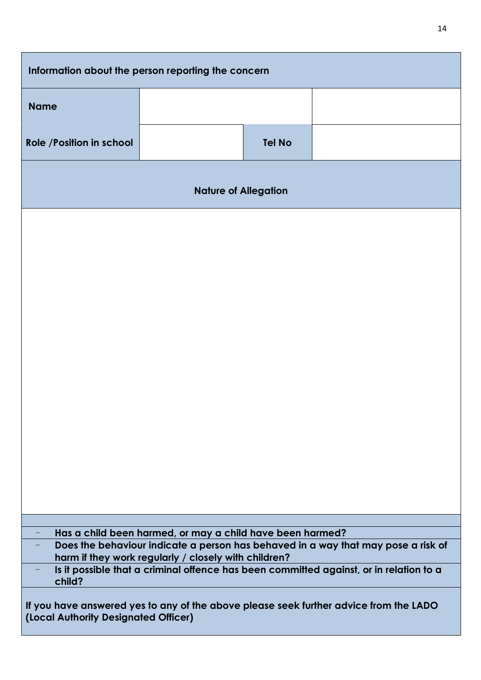| Information about the person reporting the concern                                                                                                                                                     |  |               |  |  |  |
|--------------------------------------------------------------------------------------------------------------------------------------------------------------------------------------------------------|--|---------------|--|--|--|
| <b>Name</b>                                                                                                                                                                                            |  |               |  |  |  |
| Role / Position in school                                                                                                                                                                              |  | <b>Tel No</b> |  |  |  |
| <b>Nature of Allegation</b>                                                                                                                                                                            |  |               |  |  |  |
|                                                                                                                                                                                                        |  |               |  |  |  |
|                                                                                                                                                                                                        |  |               |  |  |  |
|                                                                                                                                                                                                        |  |               |  |  |  |
|                                                                                                                                                                                                        |  |               |  |  |  |
|                                                                                                                                                                                                        |  |               |  |  |  |
|                                                                                                                                                                                                        |  |               |  |  |  |
|                                                                                                                                                                                                        |  |               |  |  |  |
|                                                                                                                                                                                                        |  |               |  |  |  |
|                                                                                                                                                                                                        |  |               |  |  |  |
|                                                                                                                                                                                                        |  |               |  |  |  |
| Has a child been harmed, or may a child have been harmed?<br>Does the behaviour indicate a person has behaved in a way that may pose a risk of<br>harm if they work regularly / closely with children? |  |               |  |  |  |
| Is it possible that a criminal offence has been committed against, or in relation to a<br>child?                                                                                                       |  |               |  |  |  |
| If you have answered yes to any of the above please seek further advice from the LADO<br>(Local Authority Designated Officer)                                                                          |  |               |  |  |  |